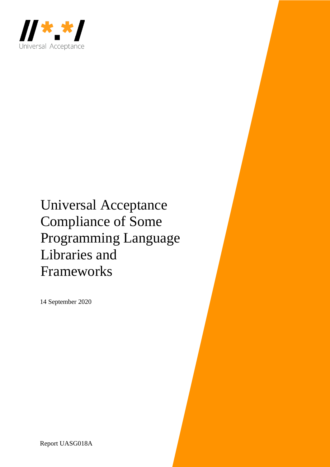

# Universal Acceptance Compliance of Some Programming Language Libraries and Frameworks

14 September 2020

Report UASG018A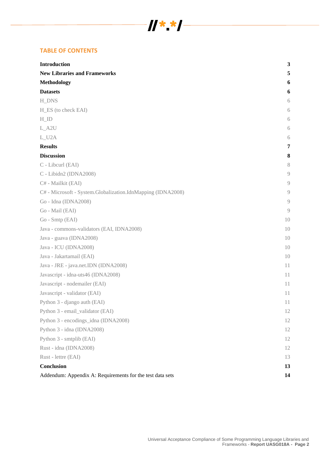# $|| * * -$

#### **TABLE OF CONTENTS**

| Introduction                                                | 3  |
|-------------------------------------------------------------|----|
| <b>New Libraries and Frameworks</b>                         | 5  |
| <b>Methodology</b>                                          | 6  |
| <b>Datasets</b>                                             | 6  |
| <b>H_DNS</b>                                                | 6  |
| H_ES (to check EAI)                                         | 6  |
| $H$ <sub>ID</sub>                                           | 6  |
| $L_A2U$                                                     | 6  |
| L_U2A                                                       | 6  |
| <b>Results</b>                                              | 7  |
| <b>Discussion</b>                                           | 8  |
| C - Libcurl (EAI)                                           | 8  |
| C - Libidn2 (IDNA2008)                                      | 9  |
| C# - Mailkit (EAI)                                          | 9  |
| C# - Microsoft - System.Globalization.IdnMapping (IDNA2008) | 9  |
| Go - Idna (IDNA2008)                                        | 9  |
| Go - Mail (EAI)                                             | 9  |
| Go - Smtp (EAI)                                             | 10 |
| Java - commons-validators (EAI, IDNA2008)                   | 10 |
| Java - guava (IDNA2008)                                     | 10 |
| Java - ICU (IDNA2008)                                       | 10 |
| Java - Jakartamail (EAI)                                    | 10 |
| Java - JRE - java.net.IDN (IDNA2008)                        | 11 |
| Javascript - idna-uts46 (IDNA2008)                          | 11 |
| Javascript - nodemailer (EAI)                               | 11 |
| Javascript - validator (EAI)                                | 11 |
| Python 3 - django auth (EAI)                                | 11 |
| Python 3 - email_validator (EAI)                            | 12 |
| Python 3 - encodings_idna (IDNA2008)                        | 12 |
| Python 3 - idna (IDNA2008)                                  | 12 |
| Python 3 - smtplib (EAI)                                    | 12 |
| Rust - idna (IDNA2008)                                      | 12 |
| Rust - lettre (EAI)                                         | 13 |
| Conclusion                                                  | 13 |
| Addendum: Appendix A: Requirements for the test data sets   | 14 |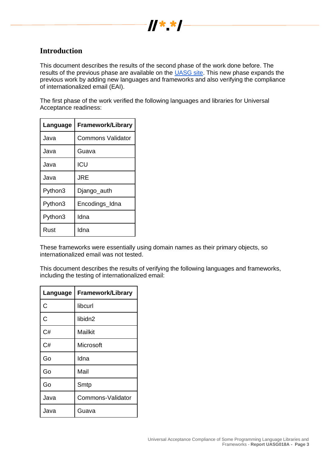

## **Introduction**

This document describes the results of the second phase of the work done before. The results of the previous phase are available on the [UASG site.](https://uasg.tech/software/) This new phase expands the previous work by adding new languages and frameworks and also verifying the compliance of internationalized email (EAI).

The first phase of the work verified the following languages and libraries for Universal Acceptance readiness:

| Language | <b>Framework/Library</b> |
|----------|--------------------------|
| Java     | Commons Validator        |
| Java     | Guava                    |
| Java     | ICU                      |
| Java     | JRE                      |
| Python3  | Django_auth              |
| Python3  | Encodings_Idna           |
| Python3  | Idna                     |
| Rust     | Idna                     |

These frameworks were essentially using domain names as their primary objects, so internationalized email was not tested.

This document describes the results of verifying the following languages and frameworks, including the testing of internationalized email:

| Language | <b>Framework/Library</b> |
|----------|--------------------------|
| C        | libcurl                  |
| C        | libidn2                  |
| C#       | Mailkit                  |
| C#       | Microsoft                |
| Go       | Idna                     |
| Go       | Mail                     |
| Go       | Smtp                     |
| Java     | Commons-Validator        |
| Java     | Guava                    |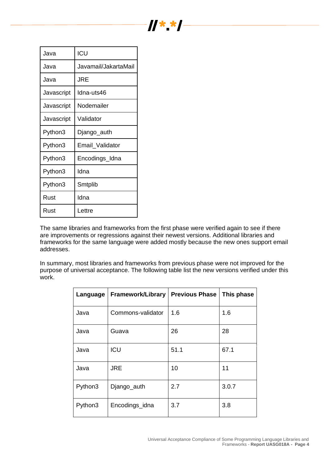| Java       | ICU                  |
|------------|----------------------|
| Java       | Javamail/JakartaMail |
| Java       | JRE                  |
| Javascript | Idna-uts46           |
| Javascript | Nodemailer           |
| Javascript | Validator            |
| Python3    | Django_auth          |
| Python3    | Email_Validator      |
| Python3    | Encodings_Idna       |
| Python3    | Idna                 |
| Python3    | Smtplib              |
| Rust       | Idna                 |
| Rust       | Lettre               |

 $\overline{a}$ 

The same libraries and frameworks from the first phase were verified again to see if there are improvements or regressions against their newest versions. Additional libraries and frameworks for the same language were added mostly because the new ones support email addresses.

 $\frac{1}{2}$   $\frac{1}{2}$   $\frac{1}{2}$   $\frac{1}{2}$   $\frac{1}{2}$   $\frac{1}{2}$   $\frac{1}{2}$   $\frac{1}{2}$   $\frac{1}{2}$   $\frac{1}{2}$ 

In summary, most libraries and frameworks from previous phase were not improved for the purpose of universal acceptance. The following table list the new versions verified under this work.

| Language | <b>Framework/Library</b> | <b>Previous Phase</b> | This phase |
|----------|--------------------------|-----------------------|------------|
| Java     | Commons-validator        | 1.6                   | 1.6        |
| Java     | Guava                    | 26                    | 28         |
| Java     | ICU                      | 51.1                  | 67.1       |
| Java     | <b>JRE</b>               | 10                    | 11         |
| Python3  | Django_auth              | 2.7                   | 3.0.7      |
| Python3  | Encodings_idna           | 3.7                   | 3.8        |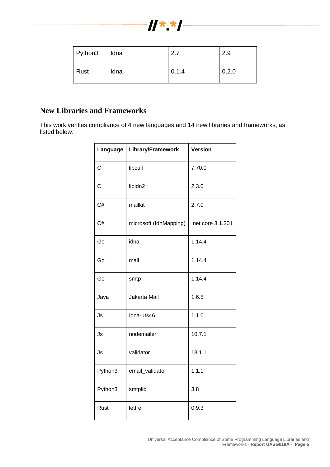

| $\vert$ Python3 | Idna | 27    | 2.9   |
|-----------------|------|-------|-------|
| Rust            | Idna | 0.1.4 | 0.2.0 |

## **New Libraries and Frameworks**

This work verifies compliance of 4 new languages and 14 new libraries and frameworks, as listed below.

| Language     | Library/Framework      | <b>Version</b>    |
|--------------|------------------------|-------------------|
| $\mathsf{C}$ | libcurl                | 7.70.0            |
| $\mathsf{C}$ | libidn2                | 2.3.0             |
| C#           | mailkit                | 2.7.0             |
| C#           | microsoft (IdnMapping) | .net core 3.1.301 |
| Go           | idna                   | 1.14.4            |
| Go           | mail                   | 1.14.4            |
| Go           | smtp                   | 1.14.4            |
| Java         | Jakarta Mail           | 1.6.5             |
| Js           | Idna-uts46             | 1.1.0             |
| Js           | nodemailer             | 10.7.1            |
| Js           | validator              | 13.1.1            |
| Python3      | email_validator        | 1.1.1             |
| Python3      | smtplib                | 3.8               |
| Rust         | lettre                 | 0.9.3             |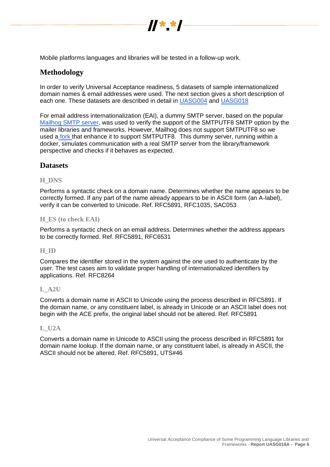

Mobile platforms languages and libraries will be tested in a follow-up work.

## **Methodology**

In order to verify Universal Acceptance readiness, 5 datasets of sample internationalized domain names & email addresses were used. The next section gives a short description of each one. These datasets are described in detail in [UASG004](https://uasg.tech/wp-content/uploads/documents/UASG004-en-digital.pdf) and [UASG018](https://uasg.tech/wp-content/uploads/documents/UASG018-en-digital.pdf)

For email address internationalization (EAI), a dummy SMTP server, based on the popular [Mailhog SMTP server,](https://github.com/mailhog/smtp) was used to verify the support of the SMTPUTF8 SMTP option by the mailer libraries and frameworks. However, Mailhog does not support SMTPUTF8 so we used a [fork t](https://github.com/dcormier/smtp/tree/dc/ext)hat enhance it to support SMTPUTF8. This dummy server, running within a docker, simulates communication with a real SMTP server from the library/framework perspective and checks if it behaves as expected.

### **Datasets**

#### **H\_DNS**

Performs a syntactic check on a domain name. Determines whether the name appears to be correctly formed. If any part of the name already appears to be in ASCII form (an A-label), verify it can be converted to Unicode. Ref. RFC5891, RFC1035, SAC053

#### **H\_ES (to check EAI)**

Performs a syntactic check on an email address. Determines whether the address appears to be correctly formed. Ref. RFC5891, RFC6531

#### **H\_ID**

Compares the identifier stored in the system against the one used to authenticate by the user. The test cases aim to validate proper handling of internationalized identifiers by applications. Ref. RFC8264

#### **L\_A2U**

Converts a domain name in ASCII to Unicode using the process described in RFC5891. If the domain name, or any constituent label, is already in Unicode or an ASCII label does not begin with the ACE prefix, the original label should not be altered. Ref. RFC5891

#### **L\_U2A**

Converts a domain name in Unicode to ASCII using the process described in RFC5891 for domain name lookup. If the domain name, or any constituent label, is already in ASCII, the ASCII should not be altered. Ref. RFC5891, UTS#46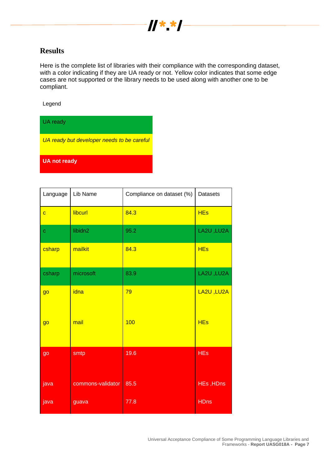

## **Results**

Here is the complete list of libraries with their compliance with the corresponding dataset, with a color indicating if they are UA ready or not. Yellow color indicates that some edge cases are not supported or the library needs to be used along with another one to be compliant.

Legend

UA ready

*UA ready but developer needs to be careful*

**UA not ready**

| Language       | Lib Name          | Compliance on dataset (%) | <b>Datasets</b>       |
|----------------|-------------------|---------------------------|-----------------------|
| $\overline{c}$ | libcurl           | 84.3                      | <b>HEs</b>            |
| $\mathbf C$    | libidn2           | 95.2                      | LA2U, LU2A            |
| csharp         | mailkit           | 84.3                      | <b>HE<sub>s</sub></b> |
| csharp         | microsoft         | 83.9                      | LA2U, LU2A            |
| go             | idna              | 79                        | LA2U, LU2A            |
| go             | mail              | 100                       | <b>HE<sub>s</sub></b> |
| go             | smtp              | 19.6                      | <b>HEs</b>            |
| java           | commons-validator | 85.5                      | HEs, HDns             |
| java           | guava             | 77.8                      | <b>HDns</b>           |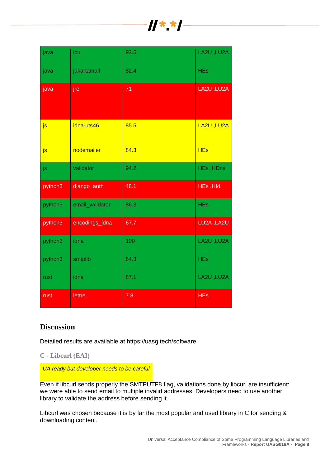| java    | icu             | 93.5 | LA2U, LU2A |
|---------|-----------------|------|------------|
| java    | jakartamail     | 82.4 | <b>HEs</b> |
| java    | jre             | 71   | LA2U,LU2A  |
| js      | idna-uts46      | 85.5 | LA2U, LU2A |
| js      | nodemailer      | 84.3 | <b>HEs</b> |
| js      | validator       | 94.2 | HEs, HDns  |
|         |                 |      |            |
| python3 | django_auth     | 48.1 | HEs, HId   |
| python3 | email_validator | 86.3 | <b>HEs</b> |
| python3 | encodings_idna  | 67.7 | LU2A, LA2U |
| python3 | idna            | 100  | LA2U, LU2A |
| python3 | smtplib         | 84.3 | <b>HEs</b> |
| rust    | idna            | 87.1 | LA2U, LU2A |

## **Discussion**

Detailed results are available at https://uasg.tech/software.

### **C - Libcurl (EAI)**

*UA ready but developer needs to be careful*

Even if libcurl sends properly the SMTPUTF8 flag, validations done by libcurl are insufficient: we were able to send email to multiple invalid addresses. Developers need to use another library to validate the address before sending it.

Libcurl was chosen because it is by far the most popular and used library in C for sending & downloading content.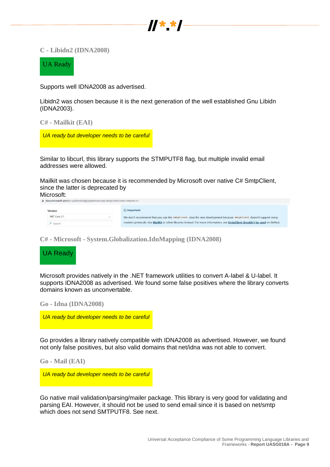

**C - Libidn2 (IDNA2008)**

UA Ready

Supports well IDNA2008 as advertised.

Libidn2 was chosen because it is the next generation of the well established Gnu Libidn (IDNA2003).

**C# - Mailkit (EAI)**

*UA ready but developer needs to be careful*

Similar to libcurl, this library supports the STMPUTF8 flag, but multiple invalid email addresses were allowed.

Mailkit was chosen because it is recommended by Microsoft over native C# SmtpClient, since the latter is deprecated by Microsoft:

docs.microsoft.com/en-us/dotnet/api/system.net.mail.smtpclient?view

| Version                       | <b>O</b> Important                                                                                                          |
|-------------------------------|-----------------------------------------------------------------------------------------------------------------------------|
| .NET Core 3.1<br>$\checkmark$ | We don't recommend that you use the SmtpClient class for new development because SmtpClient doesn't support many            |
| $O$ Search                    | modern protocols. Use MailKit or other libraries instead. For more information, see SmtpClient shouldn't be used on GitHub. |

**C# - Microsoft - System.Globalization.IdnMapping (IDNA2008)**



Microsoft provides natively in the .NET framework utilities to convert A-label & U-label. It supports IDNA2008 as advertised. We found some false positives where the library converts domains known as unconvertable.

**Go - Idna (IDNA2008)**

*UA ready but developer needs to be careful*

Go provides a library natively compatible with IDNA2008 as advertised. However, we found not only false positives, but also valid domains that net/idna was not able to convert.

**Go - Mail (EAI)**

*UA ready but developer needs to be careful*

Go native mail validation/parsing/mailer package. This library is very good for validating and parsing EAI. However, it should not be used to send email since it is based on net/smtp which does not send SMTPUTF8. See next.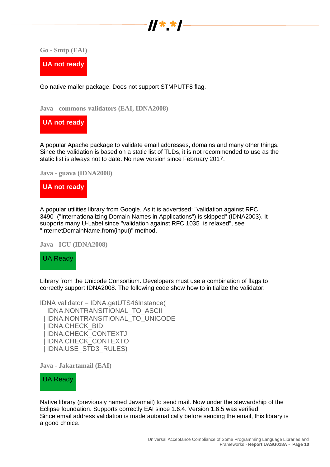

**Go - Smtp (EAI)**

**UA not ready** 

Go native mailer package. Does not support STMPUTF8 flag.

**Java - commons-validators (EAI, IDNA2008)**

**UA not ready**

A popular Apache package to validate email addresses, domains and many other things. Since the validation is based on a static list of TLDs, it is not recommended to use as the static list is always not to date. No new version since February 2017.

```
Java - guava (IDNA2008)
```
## **UA not ready**

A popular utilities library from Google. As it is advertised: "validation against RFC 3490 ("Internationalizing Domain Names in Applications") is skipped" (IDNA2003). It supports many U-Label since "validation against RFC 1035 is relaxed", see "InternetDomainName.from(input)" method.

**Java - ICU (IDNA2008)**

UA Ready

Library from the Unicode Consortium. Developers must use a combination of flags to correctly support IDNA2008. The following code show how to initialize the validator:

IDNA validator = IDNA.getUTS46Instance( IDNA.NONTRANSITIONAL\_TO\_ASCII | IDNA.NONTRANSITIONAL\_TO\_UNICODE | IDNA.CHECK\_BIDI | IDNA.CHECK\_CONTEXTJ | IDNA.CHECK\_CONTEXTO | IDNA.USE\_STD3\_RULES)

**Java - Jakartamail (EAI)**

## UA Ready

Native library (previously named Javamail) to send mail. Now under the stewardship of the Eclipse foundation. Supports correctly EAI since 1.6.4. Version 1.6.5 was verified. Since email address validation is made automatically before sending the email, this library is a good choice.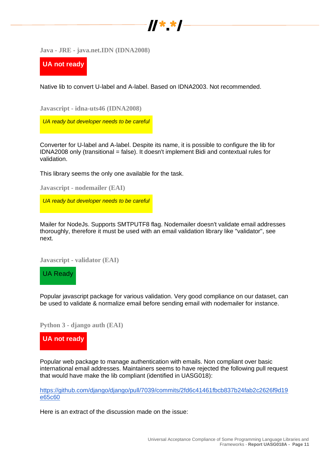

**Java - JRE - java.net.IDN (IDNA2008)**

**UA not ready**

Native lib to convert U-label and A-label. Based on IDNA2003. Not recommended.

**Javascript - idna-uts46 (IDNA2008)**

*UA ready but developer needs to be careful*

Converter for U-label and A-label. Despite its name, it is possible to configure the lib for IDNA2008 only (transitional = false). It doesn't implement Bidi and contextual rules for validation.

This library seems the only one available for the task.

**Javascript - nodemailer (EAI)**

*UA ready but developer needs to be careful*

Mailer for NodeJs. Supports SMTPUTF8 flag. Nodemailer doesn't validate email addresses thoroughly, therefore it must be used with an email validation library like "validator", see next.

**Javascript - validator (EAI)**

UA Ready

Popular javascript package for various validation. Very good compliance on our dataset, can be used to validate & normalize email before sending email with nodemailer for instance.

**Python 3 - django auth (EAI)**

## **UA not ready**

Popular web package to manage authentication with emails. Non compliant over basic international email addresses. Maintainers seems to have rejected the following pull request that would have make the lib compliant (identified in UASG018):

[https://github.com/django/django/pull/7039/commits/2fd6c41461fbcb837b24fab2c2626f9d19](https://github.com/django/django/pull/7039/commits/2fd6c41461fbcb837b24fab2c2626f9d19e65c60) [e65c60](https://github.com/django/django/pull/7039/commits/2fd6c41461fbcb837b24fab2c2626f9d19e65c60)

Here is an extract of the discussion made on the issue: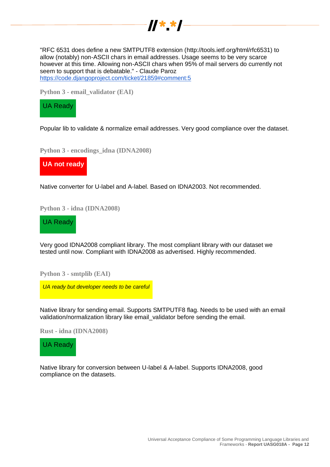

"RFC 6531 does define a new SMTPUTF8 extension (http://tools.ietf.org/html/rfc6531) to allow (notably) non-ASCII chars in email addresses. Usage seems to be very scarce however at this time. Allowing non-ASCII chars when 95% of mail servers do currently not seem to support that is debatable." - Claude Paroz <https://code.djangoproject.com/ticket/21859#comment:5>

**Python 3 - email\_validator (EAI)**



Popular lib to validate & normalize email addresses. Very good compliance over the dataset.

**Python 3 - encodings\_idna (IDNA2008)**

**UA not ready**

Native converter for U-label and A-label. Based on IDNA2003. Not recommended.

**Python 3 - idna (IDNA2008)**

UA Ready

Very good IDNA2008 compliant library. The most compliant library with our dataset we tested until now. Compliant with IDNA2008 as advertised. Highly recommended.

**Python 3 - smtplib (EAI)**

*UA ready but developer needs to be careful*

Native library for sending email. Supports SMTPUTF8 flag. Needs to be used with an email validation/normalization library like email\_validator before sending the email.

**Rust - idna (IDNA2008)**

UA Ready

Native library for conversion between U-label & A-label. Supports IDNA2008, good compliance on the datasets.